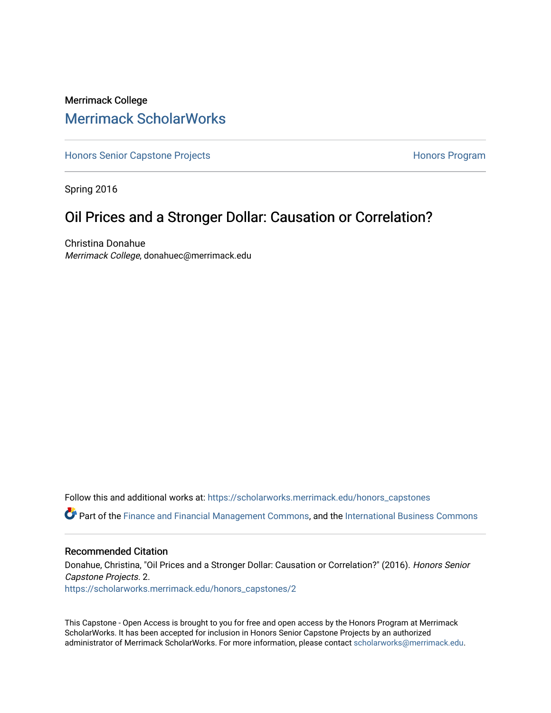## Merrimack College [Merrimack ScholarWorks](https://scholarworks.merrimack.edu/)

[Honors Senior Capstone Projects](https://scholarworks.merrimack.edu/honors_capstones) **Honors Program** Honors Program

Spring 2016

## Oil Prices and a Stronger Dollar: Causation or Correlation?

Christina Donahue Merrimack College, donahuec@merrimack.edu

Follow this and additional works at: [https://scholarworks.merrimack.edu/honors\\_capstones](https://scholarworks.merrimack.edu/honors_capstones?utm_source=scholarworks.merrimack.edu%2Fhonors_capstones%2F2&utm_medium=PDF&utm_campaign=PDFCoverPages)

Part of the [Finance and Financial Management Commons,](http://network.bepress.com/hgg/discipline/631?utm_source=scholarworks.merrimack.edu%2Fhonors_capstones%2F2&utm_medium=PDF&utm_campaign=PDFCoverPages) and the [International Business Commons](http://network.bepress.com/hgg/discipline/634?utm_source=scholarworks.merrimack.edu%2Fhonors_capstones%2F2&utm_medium=PDF&utm_campaign=PDFCoverPages)

#### Recommended Citation

Donahue, Christina, "Oil Prices and a Stronger Dollar: Causation or Correlation?" (2016). Honors Senior Capstone Projects. 2. [https://scholarworks.merrimack.edu/honors\\_capstones/2](https://scholarworks.merrimack.edu/honors_capstones/2?utm_source=scholarworks.merrimack.edu%2Fhonors_capstones%2F2&utm_medium=PDF&utm_campaign=PDFCoverPages)

This Capstone - Open Access is brought to you for free and open access by the Honors Program at Merrimack ScholarWorks. It has been accepted for inclusion in Honors Senior Capstone Projects by an authorized administrator of Merrimack ScholarWorks. For more information, please contact [scholarworks@merrimack.edu](mailto:scholarworks@merrimack.edu).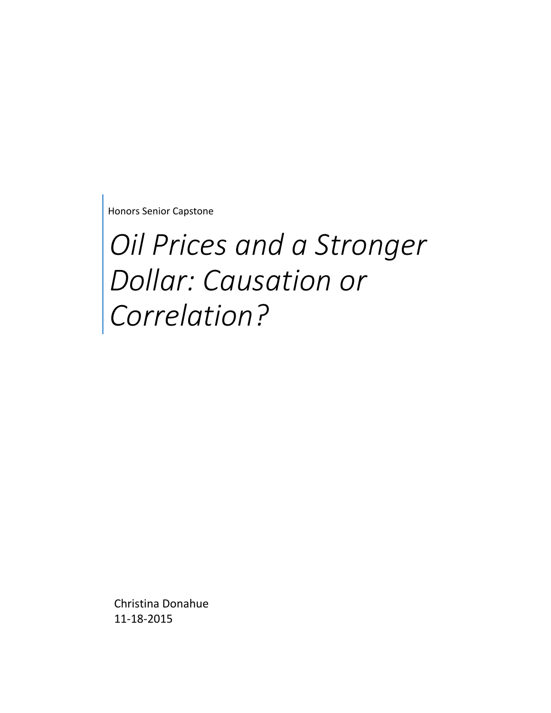Honors Senior Capstone

# *Oil Prices and a Stronger Dollar: Causation or Correlation?*

Christina Donahue 11-18-2015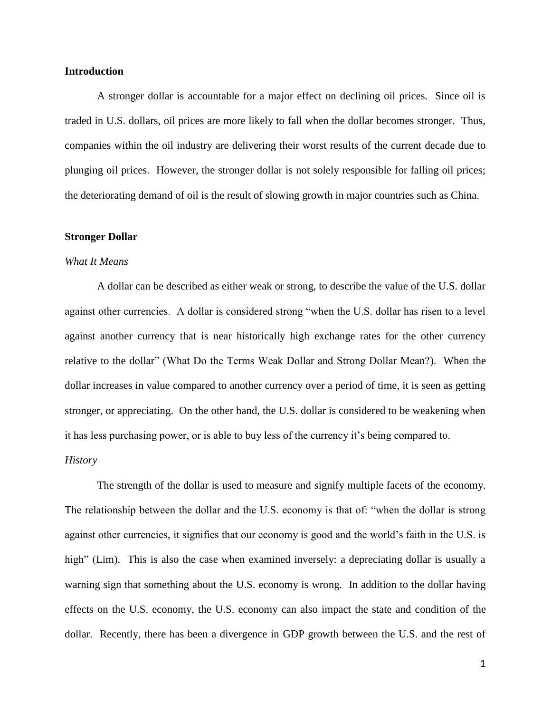#### **Introduction**

A stronger dollar is accountable for a major effect on declining oil prices. Since oil is traded in U.S. dollars, oil prices are more likely to fall when the dollar becomes stronger. Thus, companies within the oil industry are delivering their worst results of the current decade due to plunging oil prices. However, the stronger dollar is not solely responsible for falling oil prices; the deteriorating demand of oil is the result of slowing growth in major countries such as China.

#### **Stronger Dollar**

#### *What It Means*

A dollar can be described as either weak or strong, to describe the value of the U.S. dollar against other currencies. A dollar is considered strong "when the U.S. dollar has risen to a level against another currency that is near historically high exchange rates for the other currency relative to the dollar" (What Do the Terms Weak Dollar and Strong Dollar Mean?). When the dollar increases in value compared to another currency over a period of time, it is seen as getting stronger, or appreciating. On the other hand, the U.S. dollar is considered to be weakening when it has less purchasing power, or is able to buy less of the currency it's being compared to.

### *History*

The strength of the dollar is used to measure and signify multiple facets of the economy. The relationship between the dollar and the U.S. economy is that of: "when the dollar is strong against other currencies, it signifies that our economy is good and the world's faith in the U.S. is high" (Lim). This is also the case when examined inversely: a depreciating dollar is usually a warning sign that something about the U.S. economy is wrong. In addition to the dollar having effects on the U.S. economy, the U.S. economy can also impact the state and condition of the dollar. Recently, there has been a divergence in GDP growth between the U.S. and the rest of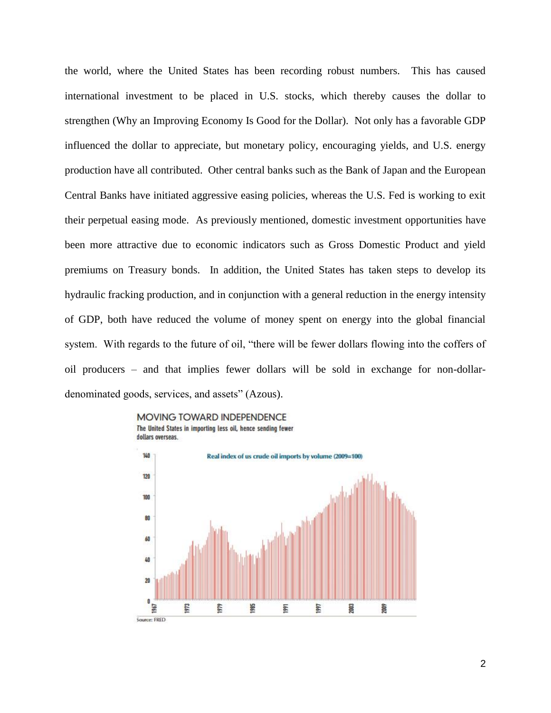the world, where the United States has been recording robust numbers. This has caused international investment to be placed in U.S. stocks, which thereby causes the dollar to strengthen (Why an Improving Economy Is Good for the Dollar). Not only has a favorable GDP influenced the dollar to appreciate, but monetary policy, encouraging yields, and U.S. energy production have all contributed. Other central banks such as the Bank of Japan and the European Central Banks have initiated aggressive easing policies, whereas the U.S. Fed is working to exit their perpetual easing mode. As previously mentioned, domestic investment opportunities have been more attractive due to economic indicators such as Gross Domestic Product and yield premiums on Treasury bonds. In addition, the United States has taken steps to develop its hydraulic fracking production, and in conjunction with a general reduction in the energy intensity of GDP, both have reduced the volume of money spent on energy into the global financial system. With regards to the future of oil, "there will be fewer dollars flowing into the coffers of oil producers – and that implies fewer dollars will be sold in exchange for non-dollardenominated goods, services, and assets" (Azous).

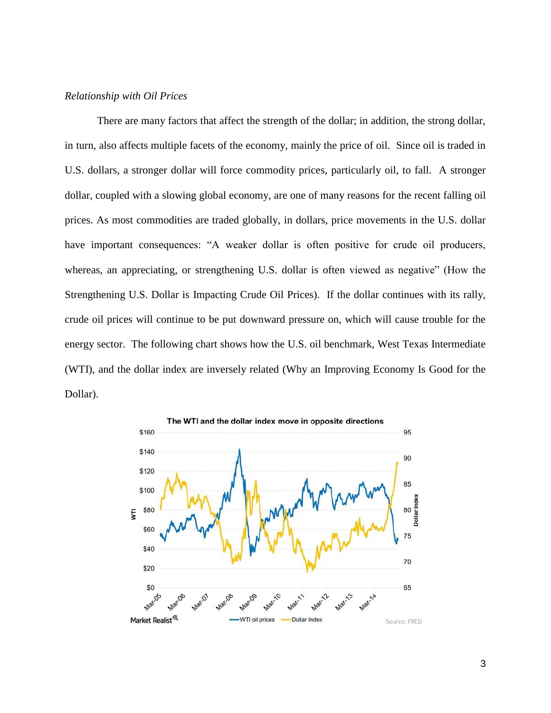#### *Relationship with Oil Prices*

There are many factors that affect the strength of the dollar; in addition, the strong dollar, in turn, also affects multiple facets of the economy, mainly the price of oil. Since oil is traded in U.S. dollars, a stronger dollar will force commodity prices, particularly oil, to fall. A stronger dollar, coupled with a slowing global economy, are one of many reasons for the recent falling oil prices. As most commodities are traded globally, in dollars, price movements in the U.S. dollar have important consequences: "A weaker dollar is often positive for crude oil producers, whereas, an appreciating, or strengthening U.S. dollar is often viewed as negative" (How the Strengthening U.S. Dollar is Impacting Crude Oil Prices). If the dollar continues with its rally, crude oil prices will continue to be put downward pressure on, which will cause trouble for the energy sector. The following chart shows how the U.S. oil benchmark, West Texas Intermediate (WTI), and the dollar index are inversely related (Why an Improving Economy Is Good for the Dollar).

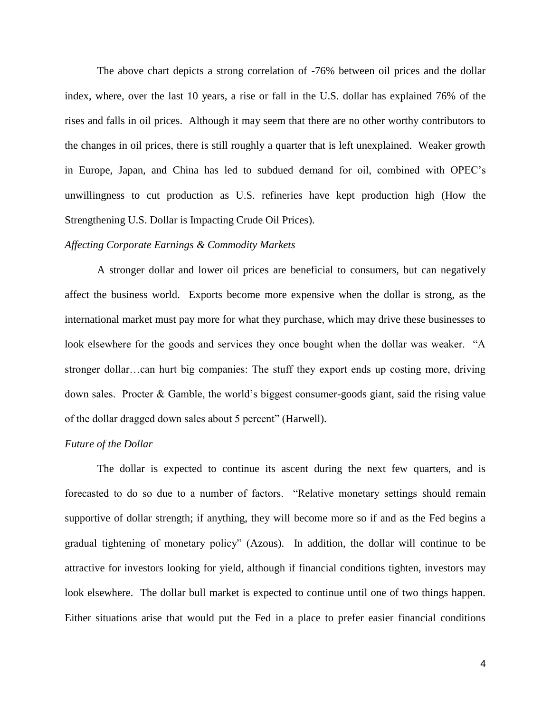The above chart depicts a strong correlation of -76% between oil prices and the dollar index, where, over the last 10 years, a rise or fall in the U.S. dollar has explained 76% of the rises and falls in oil prices. Although it may seem that there are no other worthy contributors to the changes in oil prices, there is still roughly a quarter that is left unexplained. Weaker growth in Europe, Japan, and China has led to subdued demand for oil, combined with OPEC's unwillingness to cut production as U.S. refineries have kept production high (How the Strengthening U.S. Dollar is Impacting Crude Oil Prices).

#### *Affecting Corporate Earnings & Commodity Markets*

A stronger dollar and lower oil prices are beneficial to consumers, but can negatively affect the business world. Exports become more expensive when the dollar is strong, as the international market must pay more for what they purchase, which may drive these businesses to look elsewhere for the goods and services they once bought when the dollar was weaker. "A stronger dollar…can hurt big companies: The stuff they export ends up costing more, driving down sales. Procter & Gamble, the world's biggest consumer-goods giant, said the rising value of the dollar dragged down sales about 5 percent" (Harwell).

#### *Future of the Dollar*

The dollar is expected to continue its ascent during the next few quarters, and is forecasted to do so due to a number of factors. "Relative monetary settings should remain supportive of dollar strength; if anything, they will become more so if and as the Fed begins a gradual tightening of monetary policy" (Azous). In addition, the dollar will continue to be attractive for investors looking for yield, although if financial conditions tighten, investors may look elsewhere. The dollar bull market is expected to continue until one of two things happen. Either situations arise that would put the Fed in a place to prefer easier financial conditions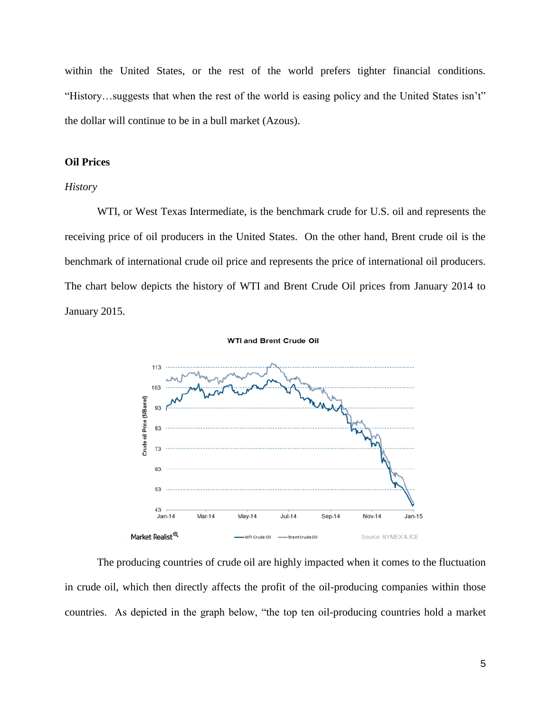within the United States, or the rest of the world prefers tighter financial conditions. "History…suggests that when the rest of the world is easing policy and the United States isn't" the dollar will continue to be in a bull market (Azous).

#### **Oil Prices**

#### *History*

WTI, or West Texas Intermediate, is the benchmark crude for U.S. oil and represents the receiving price of oil producers in the United States. On the other hand, Brent crude oil is the benchmark of international crude oil price and represents the price of international oil producers. The chart below depicts the history of WTI and Brent Crude Oil prices from January 2014 to January 2015.



The producing countries of crude oil are highly impacted when it comes to the fluctuation in crude oil, which then directly affects the profit of the oil-producing companies within those countries. As depicted in the graph below, "the top ten oil-producing countries hold a market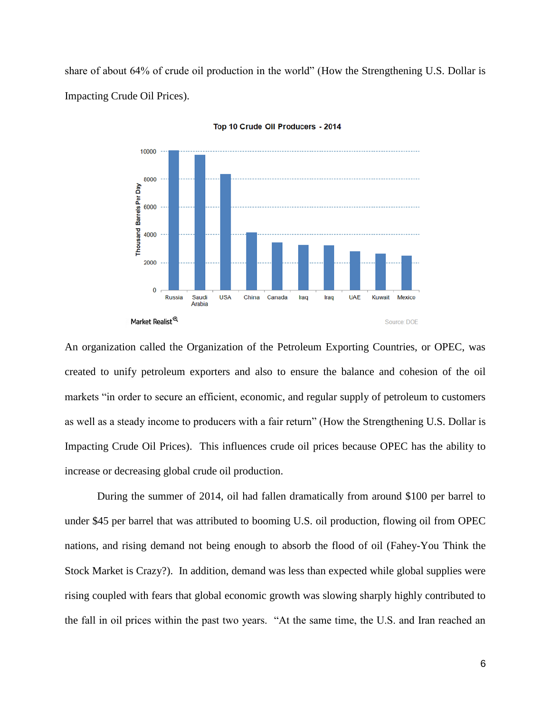share of about 64% of crude oil production in the world" (How the Strengthening U.S. Dollar is Impacting Crude Oil Prices).



Top 10 Crude Oil Producers - 2014

An organization called the Organization of the Petroleum Exporting Countries, or OPEC, was created to unify petroleum exporters and also to ensure the balance and cohesion of the oil markets "in order to secure an efficient, economic, and regular supply of petroleum to customers as well as a steady income to producers with a fair return" (How the Strengthening U.S. Dollar is Impacting Crude Oil Prices). This influences crude oil prices because OPEC has the ability to increase or decreasing global crude oil production.

During the summer of 2014, oil had fallen dramatically from around \$100 per barrel to under \$45 per barrel that was attributed to booming U.S. oil production, flowing oil from OPEC nations, and rising demand not being enough to absorb the flood of oil (Fahey-You Think the Stock Market is Crazy?). In addition, demand was less than expected while global supplies were rising coupled with fears that global economic growth was slowing sharply highly contributed to the fall in oil prices within the past two years. "At the same time, the U.S. and Iran reached an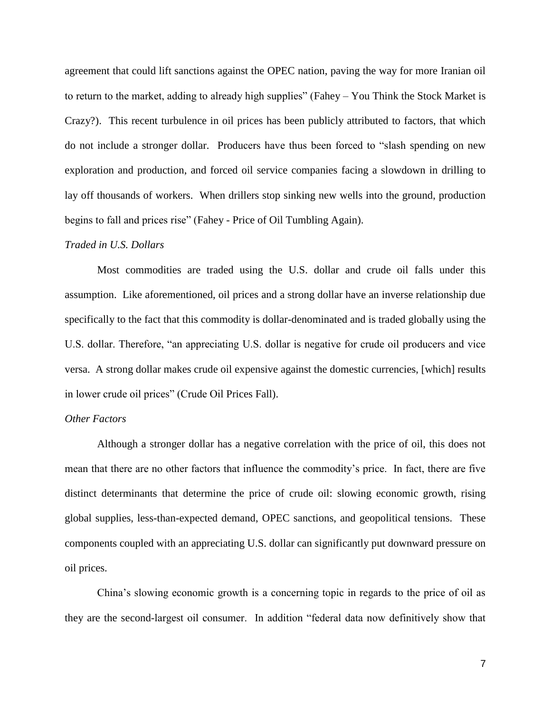agreement that could lift sanctions against the OPEC nation, paving the way for more Iranian oil to return to the market, adding to already high supplies" (Fahey – You Think the Stock Market is Crazy?). This recent turbulence in oil prices has been publicly attributed to factors, that which do not include a stronger dollar. Producers have thus been forced to "slash spending on new exploration and production, and forced oil service companies facing a slowdown in drilling to lay off thousands of workers. When drillers stop sinking new wells into the ground, production begins to fall and prices rise" (Fahey - Price of Oil Tumbling Again).

#### *Traded in U.S. Dollars*

Most commodities are traded using the U.S. dollar and crude oil falls under this assumption. Like aforementioned, oil prices and a strong dollar have an inverse relationship due specifically to the fact that this commodity is dollar-denominated and is traded globally using the U.S. dollar. Therefore, "an appreciating U.S. dollar is negative for crude oil producers and vice versa. A strong dollar makes crude oil expensive against the domestic currencies, [which] results in lower crude oil prices" (Crude Oil Prices Fall).

#### *Other Factors*

Although a stronger dollar has a negative correlation with the price of oil, this does not mean that there are no other factors that influence the commodity's price. In fact, there are five distinct determinants that determine the price of crude oil: slowing economic growth, rising global supplies, less-than-expected demand, OPEC sanctions, and geopolitical tensions. These components coupled with an appreciating U.S. dollar can significantly put downward pressure on oil prices.

China's slowing economic growth is a concerning topic in regards to the price of oil as they are the second-largest oil consumer. In addition "federal data now definitively show that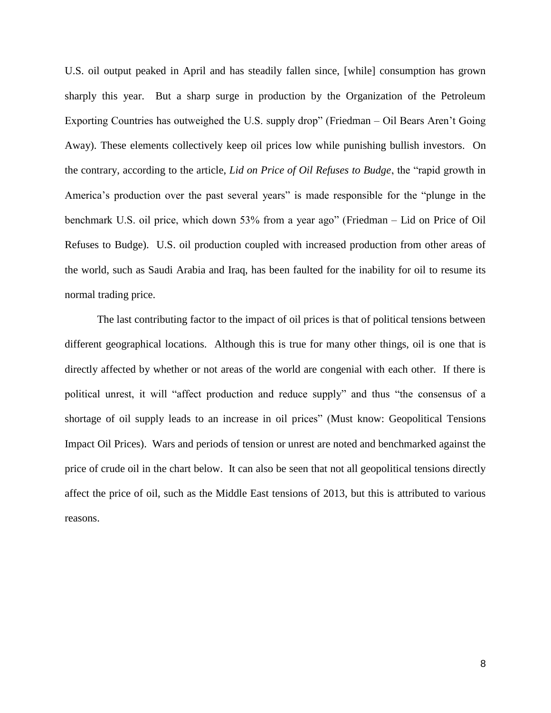U.S. oil output peaked in April and has steadily fallen since, [while] consumption has grown sharply this year. But a sharp surge in production by the Organization of the Petroleum Exporting Countries has outweighed the U.S. supply drop" (Friedman – Oil Bears Aren't Going Away). These elements collectively keep oil prices low while punishing bullish investors. On the contrary, according to the article, *Lid on Price of Oil Refuses to Budge*, the "rapid growth in America's production over the past several years" is made responsible for the "plunge in the benchmark U.S. oil price, which down 53% from a year ago" (Friedman – Lid on Price of Oil Refuses to Budge). U.S. oil production coupled with increased production from other areas of the world, such as Saudi Arabia and Iraq, has been faulted for the inability for oil to resume its normal trading price.

The last contributing factor to the impact of oil prices is that of political tensions between different geographical locations. Although this is true for many other things, oil is one that is directly affected by whether or not areas of the world are congenial with each other. If there is political unrest, it will "affect production and reduce supply" and thus "the consensus of a shortage of oil supply leads to an increase in oil prices" (Must know: Geopolitical Tensions Impact Oil Prices). Wars and periods of tension or unrest are noted and benchmarked against the price of crude oil in the chart below. It can also be seen that not all geopolitical tensions directly affect the price of oil, such as the Middle East tensions of 2013, but this is attributed to various reasons.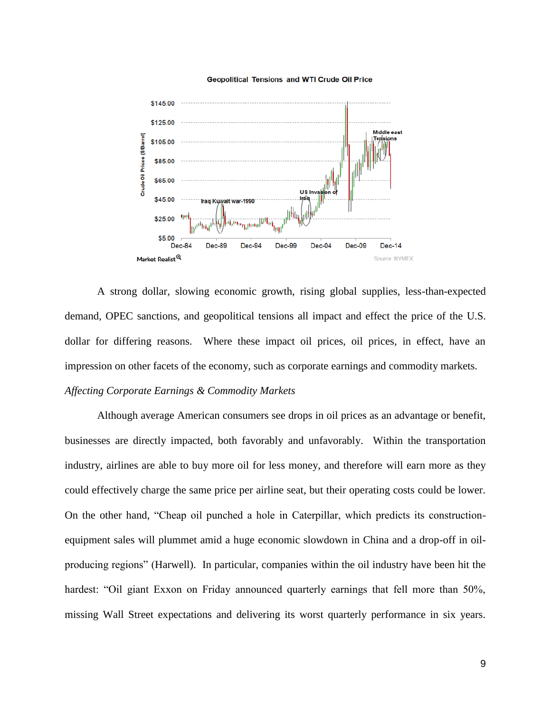

#### **Geopolitical Tensions and WTI Crude Oil Price**

A strong dollar, slowing economic growth, rising global supplies, less-than-expected demand, OPEC sanctions, and geopolitical tensions all impact and effect the price of the U.S. dollar for differing reasons. Where these impact oil prices, oil prices, in effect, have an impression on other facets of the economy, such as corporate earnings and commodity markets.

### *Affecting Corporate Earnings & Commodity Markets*

Although average American consumers see drops in oil prices as an advantage or benefit, businesses are directly impacted, both favorably and unfavorably. Within the transportation industry, airlines are able to buy more oil for less money, and therefore will earn more as they could effectively charge the same price per airline seat, but their operating costs could be lower. On the other hand, "Cheap oil punched a hole in Caterpillar, which predicts its constructionequipment sales will plummet amid a huge economic slowdown in China and a drop-off in oilproducing regions" (Harwell). In particular, companies within the oil industry have been hit the hardest: "Oil giant Exxon on Friday announced quarterly earnings that fell more than 50%, missing Wall Street expectations and delivering its worst quarterly performance in six years.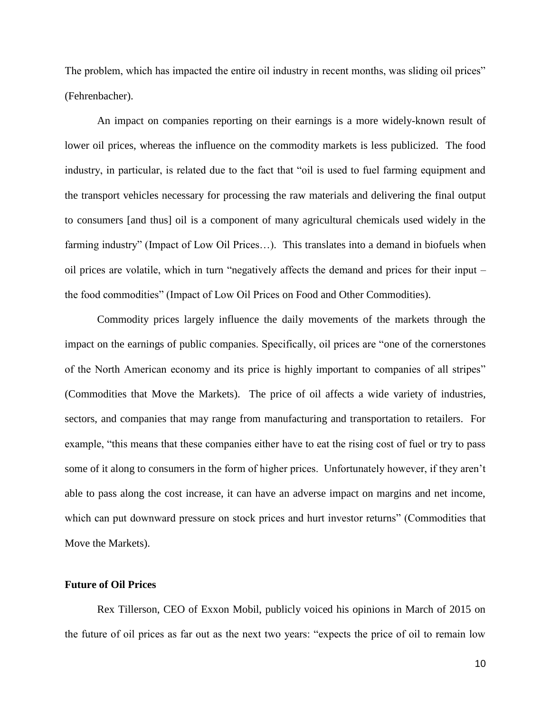The problem, which has impacted the entire oil industry in recent months, was sliding oil prices" (Fehrenbacher).

An impact on companies reporting on their earnings is a more widely-known result of lower oil prices, whereas the influence on the commodity markets is less publicized. The food industry, in particular, is related due to the fact that "oil is used to fuel farming equipment and the transport vehicles necessary for processing the raw materials and delivering the final output to consumers [and thus] oil is a component of many agricultural chemicals used widely in the farming industry" (Impact of Low Oil Prices…). This translates into a demand in biofuels when oil prices are volatile, which in turn "negatively affects the demand and prices for their input – the food commodities" (Impact of Low Oil Prices on Food and Other Commodities).

Commodity prices largely influence the daily movements of the markets through the impact on the earnings of public companies. Specifically, oil prices are "one of the cornerstones of the North American economy and its price is highly important to companies of all stripes" (Commodities that Move the Markets). The price of oil affects a wide variety of industries, sectors, and companies that may range from manufacturing and transportation to retailers. For example, "this means that these companies either have to eat the rising cost of fuel or try to pass some of it along to consumers in the form of higher prices. Unfortunately however, if they aren't able to pass along the cost increase, it can have an adverse impact on margins and net income, which can put downward pressure on stock prices and hurt investor returns" (Commodities that Move the Markets).

### **Future of Oil Prices**

Rex Tillerson, CEO of Exxon Mobil, publicly voiced his opinions in March of 2015 on the future of oil prices as far out as the next two years: "expects the price of oil to remain low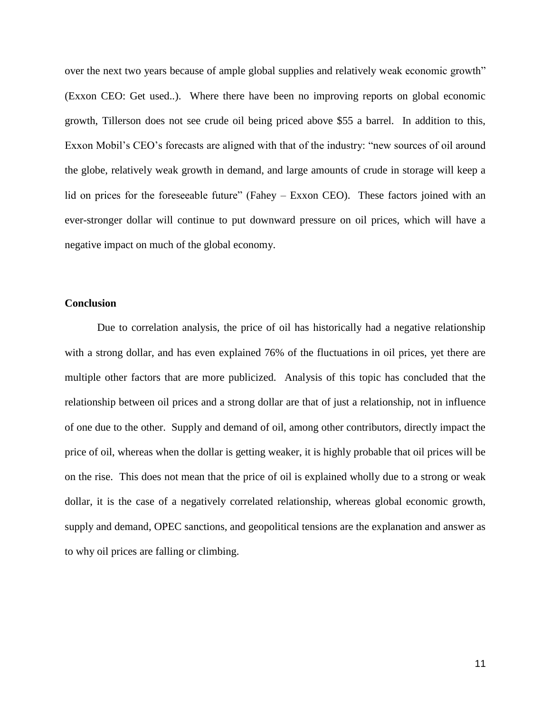over the next two years because of ample global supplies and relatively weak economic growth" (Exxon CEO: Get used..). Where there have been no improving reports on global economic growth, Tillerson does not see crude oil being priced above \$55 a barrel. In addition to this, Exxon Mobil's CEO's forecasts are aligned with that of the industry: "new sources of oil around the globe, relatively weak growth in demand, and large amounts of crude in storage will keep a lid on prices for the foreseeable future" (Fahey – Exxon CEO). These factors joined with an ever-stronger dollar will continue to put downward pressure on oil prices, which will have a negative impact on much of the global economy.

### **Conclusion**

Due to correlation analysis, the price of oil has historically had a negative relationship with a strong dollar, and has even explained 76% of the fluctuations in oil prices, yet there are multiple other factors that are more publicized. Analysis of this topic has concluded that the relationship between oil prices and a strong dollar are that of just a relationship, not in influence of one due to the other. Supply and demand of oil, among other contributors, directly impact the price of oil, whereas when the dollar is getting weaker, it is highly probable that oil prices will be on the rise. This does not mean that the price of oil is explained wholly due to a strong or weak dollar, it is the case of a negatively correlated relationship, whereas global economic growth, supply and demand, OPEC sanctions, and geopolitical tensions are the explanation and answer as to why oil prices are falling or climbing.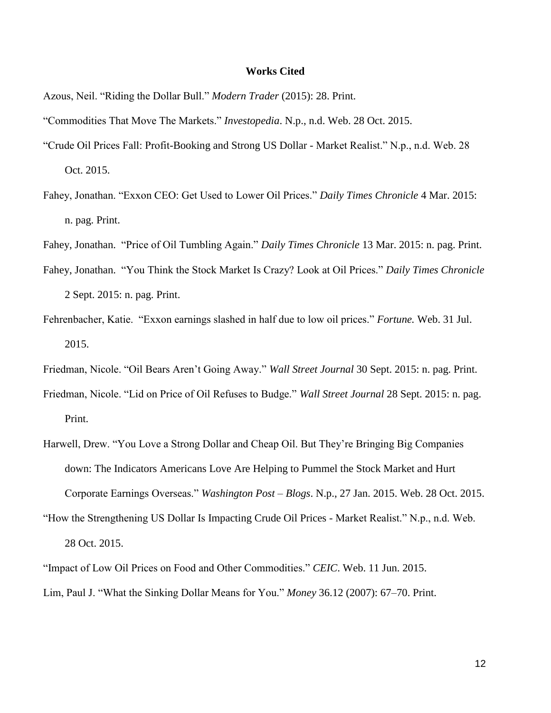#### **Works Cited**

- Azous, Neil. "Riding the Dollar Bull." *Modern Trader* (2015): 28. Print.
- "Commodities That Move The Markets." *Investopedia*. N.p., n.d. Web. 28 Oct. 2015.
- "Crude Oil Prices Fall: Profit-Booking and Strong US Dollar Market Realist." N.p., n.d. Web. 28 Oct. 2015.
- Fahey, Jonathan. "Exxon CEO: Get Used to Lower Oil Prices." *Daily Times Chronicle* 4 Mar. 2015: n. pag. Print.
- Fahey, Jonathan. "Price of Oil Tumbling Again." *Daily Times Chronicle* 13 Mar. 2015: n. pag. Print.
- Fahey, Jonathan. "You Think the Stock Market Is Crazy? Look at Oil Prices." *Daily Times Chronicle* 2 Sept. 2015: n. pag. Print.
- Fehrenbacher, Katie. "Exxon earnings slashed in half due to low oil prices." *Fortune.* Web. 31 Jul. 2015.
- Friedman, Nicole. "Oil Bears Aren't Going Away." *Wall Street Journal* 30 Sept. 2015: n. pag. Print.
- Friedman, Nicole. "Lid on Price of Oil Refuses to Budge." *Wall Street Journal* 28 Sept. 2015: n. pag. Print.
- Harwell, Drew. "You Love a Strong Dollar and Cheap Oil. But They're Bringing Big Companies down: The Indicators Americans Love Are Helping to Pummel the Stock Market and Hurt Corporate Earnings Overseas." *Washington Post – Blogs*. N.p., 27 Jan. 2015. Web. 28 Oct. 2015.
- "How the Strengthening US Dollar Is Impacting Crude Oil Prices Market Realist." N.p., n.d. Web. 28 Oct. 2015.
- "Impact of Low Oil Prices on Food and Other Commodities." *CEIC*. Web. 11 Jun. 2015.
- Lim, Paul J. "What the Sinking Dollar Means for You." *Money* 36.12 (2007): 67–70. Print.